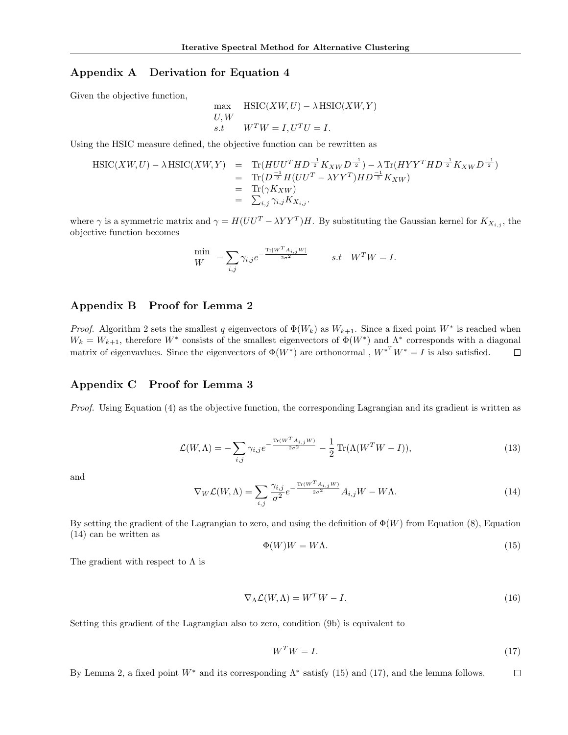## Appendix A Derivation for Equation 4

Given the objective function,

$$
\begin{aligned}\n\max & \quad \text{HSIC}(XW, U) - \lambda \, \text{HSIC}(XW, Y) \\
U, W & \quad \text{s.t} \quad W^T W = I, U^T U = I.\n\end{aligned}
$$

Using the HSIC measure defined, the objective function can be rewritten as

$$
HSLC(XW, U) - \lambda HSLC(XW, Y) = Tr(HUU^T H D^{\frac{-1}{2}} K_{XW} D^{\frac{-1}{2}}) - \lambda Tr(HYY^T H D^{\frac{-1}{2}} K_{XW} D^{\frac{-1}{2}})
$$
  
= Tr $(D^{\frac{-1}{2}} H(UU^T - \lambda YY^T) H D^{\frac{-1}{2}} K_{XW})$   
= Tr $(\gamma K_{XW})$   
=  $\sum_{i,j} \gamma_{i,j} K_{X_{i,j}}$ .

where  $\gamma$  is a symmetric matrix and  $\gamma = H(UU^T - \lambda Y Y^T)H$ . By substituting the Gaussian kernel for  $K_{X_{i,j}}$ , the objective function becomes

$$
\label{eq:W} \begin{array}{lll} \displaystyle \min_{W} & -\sum_{i,j} \gamma_{i,j} e^{-\frac{\text{Tr}\left[W^T A_{i,j} W\right]}{2\sigma^2}} & \qquad s.t \quad W^T W = I. \end{array}
$$

## Appendix B Proof for Lemma 2

*Proof.* Algorithm 2 sets the smallest q eigenvectors of  $\Phi(W_k)$  as  $W_{k+1}$ . Since a fixed point  $W^*$  is reached when  $W_k = W_{k+1}$ , therefore  $W^*$  consists of the smallest eigenvectors of  $\Phi(W^*)$  and  $\Lambda^*$  corresponds with a diagonal matrix of eigenvavlues. Since the eigenvectors of  $\Phi(W^*)$  are orthonormal,  $W^{*T}W^* = I$  is also satisfied.  $\Box$ 

### Appendix C Proof for Lemma 3

Proof. Using Equation (4) as the objective function, the corresponding Lagrangian and its gradient is written as

$$
\mathcal{L}(W,\Lambda) = -\sum_{i,j} \gamma_{i,j} e^{-\frac{\text{Tr}(W^T A_{i,j}W)}{2\sigma^2}} - \frac{1}{2} \text{Tr}(\Lambda(W^T W - I)),\tag{13}
$$

and

$$
\nabla_W \mathcal{L}(W, \Lambda) = \sum_{i,j} \frac{\gamma_{i,j}}{\sigma^2} e^{-\frac{\text{Tr}(W^T A_{i,j}W)}{2\sigma^2}} A_{i,j}W - W\Lambda.
$$
 (14)

By setting the gradient of the Lagrangian to zero, and using the definition of  $\Phi(W)$  from Equation (8), Equation (14) can be written as

$$
\Phi(W)W = W\Lambda. \tag{15}
$$

The gradient with respect to  $\Lambda$  is

$$
\nabla_{\Lambda} \mathcal{L}(W, \Lambda) = W^T W - I. \tag{16}
$$

Setting this gradient of the Lagrangian also to zero, condition (9b) is equivalent to

$$
W^T W = I. \tag{17}
$$

By Lemma 2, a fixed point  $W^*$  and its corresponding  $\Lambda^*$  satisfy (15) and (17), and the lemma follows.  $\Box$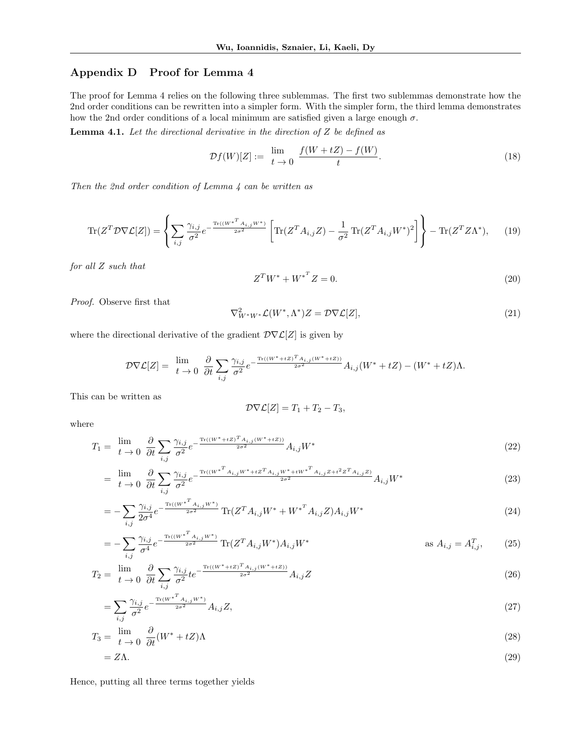# Appendix D Proof for Lemma 4

The proof for Lemma 4 relies on the following three sublemmas. The first two sublemmas demonstrate how the 2nd order conditions can be rewritten into a simpler form. With the simpler form, the third lemma demonstrates how the 2nd order conditions of a local minimum are satisfied given a large enough  $\sigma$ .

**Lemma 4.1.** Let the directional derivative in the direction of  $Z$  be defined as

$$
\mathcal{D}f(W)[Z] := \lim_{t \to 0} \frac{f(W + tZ) - f(W)}{t}.
$$
\n(18)

Then the 2nd order condition of Lemma 4 can be written as

$$
\text{Tr}(Z^T \mathcal{D} \nabla \mathcal{L}[Z]) = \left\{ \sum_{i,j} \frac{\gamma_{i,j}}{\sigma^2} e^{-\frac{\text{Tr}((W^{*T} A_{i,j} W^*)}{2\sigma^2}} \left[ \text{Tr}(Z^T A_{i,j} Z) - \frac{1}{\sigma^2} \text{Tr}(Z^T A_{i,j} W^*)^2 \right] \right\} - \text{Tr}(Z^T Z \Lambda^*), \quad (19)
$$

for all Z such that

$$
Z^T W^* + W^{*T} Z = 0.
$$
\n
$$
(20)
$$

Proof. Observe first that

$$
\nabla^2_{W^*W^*}\mathcal{L}(W^*,\Lambda^*)Z = \mathcal{D}\nabla\mathcal{L}[Z],\tag{21}
$$

where the directional derivative of the gradient  $\mathcal{D}\nabla\mathcal{L}[Z]$  is given by

$$
\mathcal{D}\nabla \mathcal{L}[Z] = \lim_{t\,\to\,0}\,\,\frac{\partial}{\partial t}\sum_{i,j}\frac{\gamma_{i,j}}{\sigma^2}e^{-\frac{\text{Tr}((W^*+tZ)^T A_{i,j}(W^*+tZ))}{2\sigma^2}}A_{i,j}(W^*+tZ)-(W^*+tZ)\Lambda.
$$

This can be written as

$$
\mathcal{D}\nabla\mathcal{L}[Z] = T_1 + T_2 - T_3,
$$

where

$$
T_1 = \lim_{t \to 0} \frac{\partial}{\partial t} \sum_{i,j} \frac{\gamma_{i,j}}{\sigma^2} e^{-\frac{\text{Tr}((W^* + tZ)^T A_{i,j}(W^* + tZ))}{2\sigma^2} A_{i,j} W^*}
$$
(22)

$$
= \lim_{t \to 0} \frac{\partial}{\partial t} \sum_{i,j} \frac{\gamma_{i,j}}{\sigma^2} e^{-\frac{\text{Tr}((W^{*T}A_{i,j}W^* + tZ^T A_{i,j}W^* + tW^{*T}A_{i,j}Z + t^2Z^T A_{i,j}Z)}{2\sigma^2} A_{i,j}W^*}
$$
(23)

$$
= -\sum_{i,j} \frac{\gamma_{i,j}}{2\sigma^4} e^{-\frac{\text{Tr}((W^{*T}A_{i,j}W^*)}{2\sigma^2} \text{Tr}(Z^T A_{i,j}W^* + W^{*T}A_{i,j}Z)A_{i,j}W^*}
$$
(24)

$$
= -\sum_{i,j} \frac{\gamma_{i,j}}{\sigma^4} e^{-\frac{\text{Tr}((W^{*T}A_{i,j}W^*)}{2\sigma^2} \text{Tr}(Z^T A_{i,j}W^*)A_{i,j}W^*} \qquad \text{as } A_{i,j} = A_{i,j}^T, \qquad (25)
$$

$$
T_2 = \lim_{t \to 0} \frac{\partial}{\partial t} \sum_{i,j} \frac{\gamma_{i,j}}{\sigma^2} t e^{-\frac{\text{Tr}((W^* + tZ)^T A_{i,j}(W^* + tZ))}{2\sigma^2} A_{i,j}Z}
$$
(26)

$$
=\sum_{i,j}\frac{\gamma_{i,j}}{\sigma^2}e^{-\frac{\text{Tr}(W^{*T}A_{i,j}W^*)}{2\sigma^2}}A_{i,j}Z,
$$
\n(27)

$$
T_3 = \lim_{t \to 0} \frac{\partial}{\partial t} (W^* + tZ) \Lambda \tag{28}
$$

$$
=Z\Lambda.\tag{29}
$$

Hence, putting all three terms together yields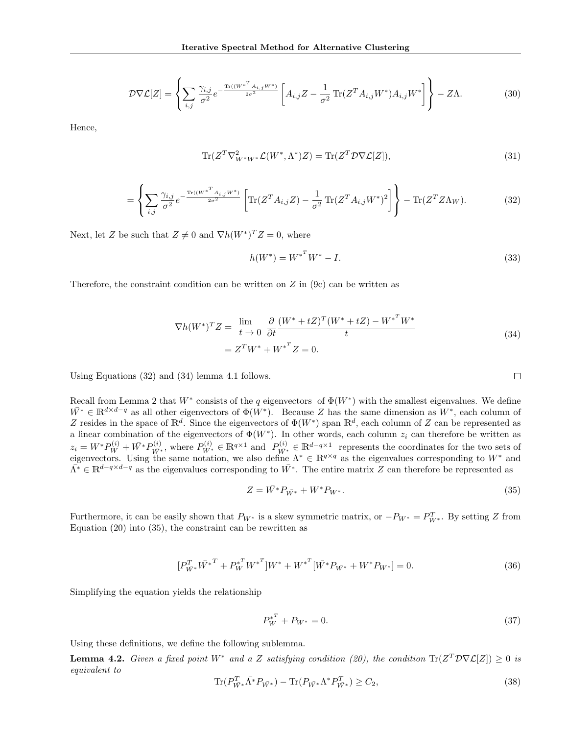$$
\mathcal{D}\nabla\mathcal{L}[Z] = \left\{ \sum_{i,j} \frac{\gamma_{i,j}}{\sigma^2} e^{-\frac{\text{Tr}((W^{*T}A_{i,j}W^*)}{2\sigma^2}} \left[ A_{i,j}Z - \frac{1}{\sigma^2} \text{Tr}(Z^T A_{i,j}W^*) A_{i,j}W^* \right] \right\} - Z\Lambda. \tag{30}
$$

Hence,

$$
\text{Tr}(Z^T \nabla^2_{W^*W^*} \mathcal{L}(W^*, \Lambda^*)Z) = \text{Tr}(Z^T \mathcal{D} \nabla \mathcal{L}[Z]),\tag{31}
$$

$$
= \left\{ \sum_{i,j} \frac{\gamma_{i,j}}{\sigma^2} e^{-\frac{\text{Tr}((W^*^T A_{i,j}W^*)}{2\sigma^2}} \left[ \text{Tr}(Z^T A_{i,j} Z) - \frac{1}{\sigma^2} \text{Tr}(Z^T A_{i,j} W^*)^2 \right] \right\} - \text{Tr}(Z^T Z \Lambda_W). \tag{32}
$$

Next, let Z be such that  $Z \neq 0$  and  $\nabla h(W^*)^T Z = 0$ , where

$$
h(W^*) = W^{*^T}W^* - I.
$$
\n(33)

Therefore, the constraint condition can be written on  $Z$  in  $(9c)$  can be written as

$$
\nabla h(W^*)^T Z = \lim_{t \to 0} \frac{\partial}{\partial t} \frac{(W^* + tZ)^T (W^* + tZ) - W^{*^T} W^*}{t}
$$
  
=  $Z^T W^* + W^{*^T} Z = 0.$  (34)

Using Equations (32) and (34) lemma 4.1 follows.

Recall from Lemma 2 that  $W^*$  consists of the q eigenvectors of  $\Phi(W^*)$  with the smallest eigenvalues. We define  $\overline{W}^* \in \mathbb{R}^{d \times d-q}$  as all other eigenvectors of  $\Phi(W^*)$ . Because Z has the same dimension as  $W^*$ , each column of Z resides in the space of  $\mathbb{R}^d$ . Since the eigenvectors of  $\Phi(W^*)$  span  $\mathbb{R}^d$ , each column of Z can be represented as a linear combination of the eigenvectors of  $\Phi(W^*)$ . In other words, each column  $z_i$  can therefore be written as  $z_i = W^* P_W^{(i)} + \bar{W^*} P_{W^*}^{(i)}$ , where  $P_{W^*}^{(i)} \in \mathbb{R}^{q \times 1}$  and  $P_{W^*}^{(i)} \in \mathbb{R}^{d-q \times 1}$  represents the coordinates for the two sets of eigenvectors. Using the same notation, we also define  $\Lambda^* \in \mathbb{R}^{q \times q}$  as the eigenvalues corresponding to  $W^*$  and  $\overline{\Lambda^*} \in \mathbb{R}^{d-q \times d-q}$  as the eigenvalues corresponding to  $\overline{W^*}$ . The entire matrix Z can therefore be represented as

$$
Z = \bar{W^*} P_{\bar{W^*}} + W^* P_{W^*}.
$$
\n(35)

Furthermore, it can be easily shown that  $P_{W^*}$  is a skew symmetric matrix, or  $-P_{W^*} = P_{W^*}^T$ . By setting Z from Equation (20) into (35), the constraint can be rewritten as

$$
[P_{W^*}^T \bar{W^*}^T + P_W^{*T} W^{*T}]W^* + W^{*T} [\bar{W^*} P_{\bar{W^*}} + W^* P_{W^*}] = 0.
$$
\n(36)

Simplifying the equation yields the relationship

$$
P_W^{*^T} + P_{W^*} = 0. \tag{37}
$$

Using these definitions, we define the following sublemma.

**Lemma 4.2.** Given a fixed point  $W^*$  and a Z satisfying condition (20), the condition  $Tr(Z^T D \nabla \mathcal{L}[Z]) \geq 0$  is equivalent to

$$
\text{Tr}(P_{\bar{W^*}}^T \bar{\Lambda^*} P_{\bar{W^*}}) - \text{Tr}(P_{\bar{W^*}} \Lambda^* P_{\bar{W^*}}^T) \ge C_2,\tag{38}
$$

$$
\qquad \qquad \Box
$$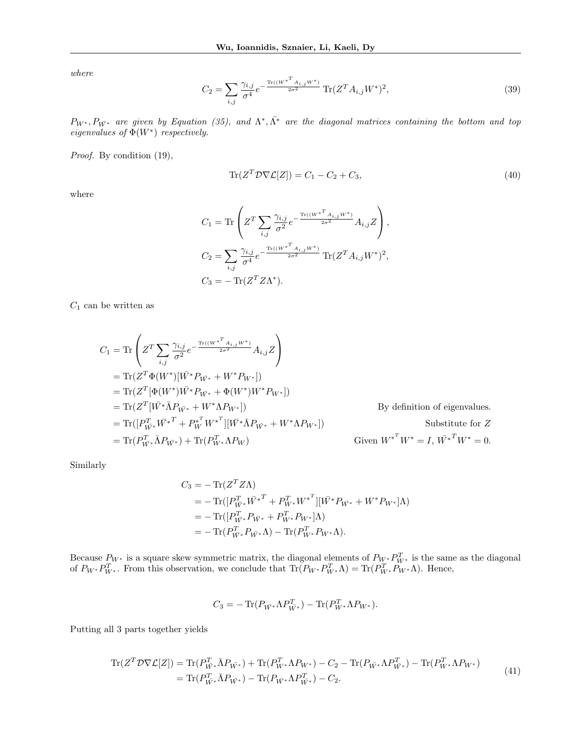where

$$
C_2 = \sum_{i,j} \frac{\gamma_{i,j}}{\sigma^4} e^{-\frac{\text{Tr}((W^{*T} A_{i,j} W^*)}{2\sigma^2} \text{Tr}(Z^T A_{i,j} W^*)^2},\tag{39}
$$

 $P_{W^*}, P_{\bar{W^*}}$  are given by Equation (35), and  $\Lambda^*, \bar{\Lambda^*}$  are the diagonal matrices containing the bottom and top eigenvalues of  $\Phi(W^*)$  respectively.

Proof. By condition  $(19)$ ,

$$
\operatorname{Tr}(Z^T \mathcal{D} \nabla \mathcal{L}[Z]) = C_1 - C_2 + C_3,\tag{40}
$$

where

$$
C_1 = \text{Tr}\left(Z^T \sum_{i,j} \frac{\gamma_{i,j}}{\sigma^2} e^{-\frac{\text{Tr}((W^{*T} A_{i,j}W^*)}{2\sigma^2} A_{i,j}Z}\right),
$$
  
\n
$$
C_2 = \sum_{i,j} \frac{\gamma_{i,j}}{\sigma^4} e^{-\frac{\text{Tr}((W^{*T} A_{i,j}W^*)}{2\sigma^2} \text{Tr}(Z^T A_{i,j}W^*)^2},
$$
  
\n
$$
C_3 = -\text{Tr}(Z^T Z \Lambda^*).
$$

 $C_1$  can be written as

$$
C_1 = \text{Tr}\left(Z^T \sum_{i,j} \frac{\gamma_{i,j}}{\sigma^2} e^{-\frac{\text{Tr}((W^{*T} A_{i,j}W^*)}{2\sigma^2}} A_{i,j}Z\right)
$$
  
\n
$$
= \text{Tr}(Z^T \Phi(W^*)[\bar{W^*} P_{\bar{W^*}} + W^* P_{W^*}])
$$
  
\n
$$
= \text{Tr}(Z^T[\Phi(W^*)\bar{W^*} P_{\bar{W^*}} + \Phi(W^*)W^* P_{W^*}])
$$
  
\n
$$
= \text{Tr}(Z^T[\bar{W^*} \bar{\Lambda} P_{\bar{W^*}} + W^* \Lambda P_{W^*}])
$$
  
\n
$$
= \text{Tr}(P_{\bar{W^*}}^T \bar{W^*}^T + P_{\bar{W}}^{*T} W^{*T}][\bar{W^*} \bar{\Lambda} P_{\bar{W^*}} + W^* \Lambda P_{W^*}])
$$
  
\n
$$
= \text{Tr}(P_{\bar{W^*}}^T \bar{\Lambda} P_{\bar{W^*}}) + \text{Tr}(P_{\bar{W^*}}^T \Lambda P_{W})
$$
  
\n
$$
Given W^{*T} W^* = I, W^{*T} W^* = 0.
$$

Similarly

$$
C_3 = -\operatorname{Tr}(Z^T Z \Lambda)
$$
  
=  $-\operatorname{Tr}([P_{\bar{W}^*}^T \bar{W^*}^T + P_{W^*}^T W^{*T}][\bar{W^*} P_{\bar{W^*}} + W^* P_{W^*}] \Lambda)$   
=  $-\operatorname{Tr}([P_{\bar{W}^*}^T P_{\bar{W}^*} + P_{W^*}^T P_{W^*}] \Lambda)$   
=  $-\operatorname{Tr}(P_{\bar{W}^*}^T P_{\bar{W}^*} \Lambda) - \operatorname{Tr}(P_{W^*}^T P_{W^*} \Lambda).$ 

Because  $P_{W^*}$  is a square skew symmetric matrix, the diagonal elements of  $P_{W^*}P_{W^*}^T$  is the same as the diagonal of  $P_{W^*}P_{W^*}^T$ . From this observation, we conclude that  $\text{Tr}(P_{W^*}P_{W^*}^T\Lambda) = \text{Tr}(P_{W^*}^T P_{W^*}\Lambda)$ . Hence,

$$
C_3 = -\operatorname{Tr}(P_{\bar{W^*}} \Lambda P^T_{\bar{W^*}}) - \operatorname{Tr}(P^T_{W^*} \Lambda P_{W^*}).
$$

Putting all 3 parts together yields

$$
\begin{split} \text{Tr}(Z^T \mathcal{D} \nabla \mathcal{L}[Z]) &= \text{Tr}(P_{\bar{W}^*}^T \bar{\Lambda} P_{\bar{W}^*}) + \text{Tr}(P_{\bar{W}^*}^T \Lambda P_{W^*}) - C_2 - \text{Tr}(P_{\bar{W}^*} \Lambda P_{\bar{W}^*}^T) - \text{Tr}(P_{\bar{W}^*}^T \Lambda P_{W^*}) \\ &= \text{Tr}(P_{\bar{W}^*}^T \bar{\Lambda} P_{\bar{W}^*}) - \text{Tr}(P_{\bar{W}^*} \Lambda P_{\bar{W}^*}^T) - C_2. \end{split} \tag{41}
$$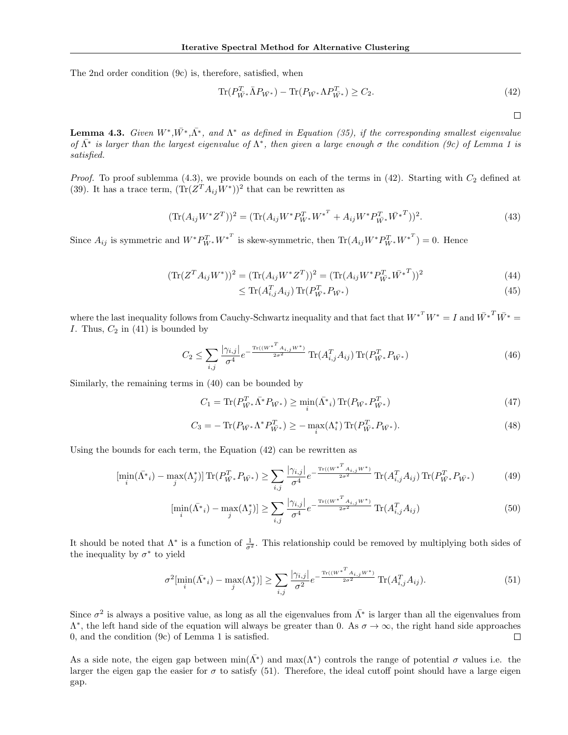The 2nd order condition (9c) is, therefore, satisfied, when

$$
\text{Tr}(P_{\bar{W}^*}^T \bar{\Lambda} P_{\bar{W}^*}) - \text{Tr}(P_{\bar{W}^*} \Lambda P_{\bar{W}^*}^T) \ge C_2. \tag{42}
$$

 $\Box$ 

**Lemma 4.3.** Given  $W^*, \overline{W}^*, \overline{\Lambda}^*$ , and  $\Lambda^*$  as defined in Equation (35), if the corresponding smallest eigenvalue of  $\bar{\Lambda}^*$  is larger than the largest eigenvalue of  $\Lambda^*$ , then given a large enough  $\sigma$  the condition (9c) of Lemma 1 is satisfied.

*Proof.* To proof sublemma (4.3), we provide bounds on each of the terms in (42). Starting with  $C_2$  defined at (39). It has a trace term,  $(Tr(Z^T A_{ij} W^*))^2$  that can be rewritten as

$$
(\text{Tr}(A_{ij}W^*Z^T))^2 = (\text{Tr}(A_{ij}W^*P_{W^*}^T{W^*}^T + A_{ij}W^*P_{\bar{W}^*}^T\bar{W^*}^T))^2.
$$
\n(43)

Since  $A_{ij}$  is symmetric and  $W^* P_{W^*}^T W^{*^T}$  is skew-symmetric, then  $\text{Tr}(A_{ij}W^* P_{W^*}^T W^{*^T}) = 0$ . Hence

$$
(\text{Tr}(Z^T A_{ij} W^*))^2 = (\text{Tr}(A_{ij} W^* Z^T))^2 = (\text{Tr}(A_{ij} W^* P_{\bar{W}^*}^T \bar{W}^{*T}))^2
$$
\n(44)

$$
\leq \text{Tr}(A_{i,j}^T A_{ij}) \text{Tr}(P_{\bar{W}^*}^T P_{\bar{W}^*}) \tag{45}
$$

where the last inequality follows from Cauchy-Schwartz inequality and that fact that  $W^{*^T}W^* = I$  and  $\bar{W^*}^T\bar{W^*} = I$ I. Thus,  $C_2$  in (41) is bounded by

$$
C_2 \le \sum_{i,j} \frac{|\gamma_{i,j}|}{\sigma^4} e^{-\frac{\text{Tr}((W^{*T} A_{i,j} W^*)}{2\sigma^2} \text{Tr}(A_{i,j}^T A_{ij}) \text{Tr}(P_{\bar{W}^*}^T P_{\bar{W}^*})}
$$
(46)

Similarly, the remaining terms in (40) can be bounded by

$$
C_1 = \text{Tr}(P_{\bar{W}^*}^T \bar{\Lambda}^* P_{\bar{W}^*}) \ge \min_i (\bar{\Lambda}^* i) \text{Tr}(P_{\bar{W}^*} P_{\bar{W}^*}^T)
$$
\n(47)

$$
C_3 = -\operatorname{Tr}(P_{\bar{W^*}} \Lambda^* P_{\bar{W^*}}^T) \ge -\max_i(\Lambda_i^*) \operatorname{Tr}(P_{\bar{W^*}}^T P_{\bar{W^*}}).
$$
(48)

Using the bounds for each term, the Equation (42) can be rewritten as

$$
\left[\min_{i}(\bar{\Lambda}^*_{i}) - \max_{j}(\Lambda^*_{j})\right] \text{Tr}(P_{\bar{W}^*}^T P_{\bar{W}^*}) \ge \sum_{i,j} \frac{|\gamma_{i,j}|}{\sigma^4} e^{-\frac{\text{Tr}((W^{*T}A_{i,j}W^*)}{2\sigma^2} \text{Tr}(A_{i,j}^T A_{ij}) \text{Tr}(P_{\bar{W}^*}^T P_{\bar{W}^*})
$$
(49)

$$
\left[\min_{i}(\bar{\Lambda}^*_{i}) - \max_{j}(\Lambda^*_{j})\right] \ge \sum_{i,j} \frac{|\gamma_{i,j}|}{\sigma^4} e^{-\frac{\text{Tr}((W^{*T}A_{i,j}W^*)}{2\sigma^2}} \text{Tr}(A_{i,j}^T A_{ij})\tag{50}
$$

It should be noted that  $\Lambda^*$  is a function of  $\frac{1}{\sigma^2}$ . This relationship could be removed by multiplying both sides of the inequality by  $\sigma^*$  to yield

$$
\sigma^2[\min_i(\bar{\Lambda^*}_i) - \max_j(\Lambda^*_j)] \ge \sum_{i,j} \frac{|\gamma_{i,j}|}{\sigma^2} e^{-\frac{\text{Tr}((W^{*^T}A_{i,j}W^*)}{2\sigma^2}\text{Tr}(A_{i,j}^T A_{ij})}.
$$
\n(51)

Since  $\sigma^2$  is always a positive value, as long as all the eigenvalues from  $\bar{\Lambda}^*$  is larger than all the eigenvalues from  $\Lambda^*$ , the left hand side of the equation will always be greater than 0. As  $\sigma \to \infty$ , the right hand side approaches 0, and the condition (9c) of Lemma 1 is satisfied. □

As a side note, the eigen gap between  $\min(\bar{\Lambda^*})$  and  $\max(\Lambda^*)$  controls the range of potential  $\sigma$  values i.e. the larger the eigen gap the easier for  $\sigma$  to satisfy (51). Therefore, the ideal cutoff point should have a large eigen gap.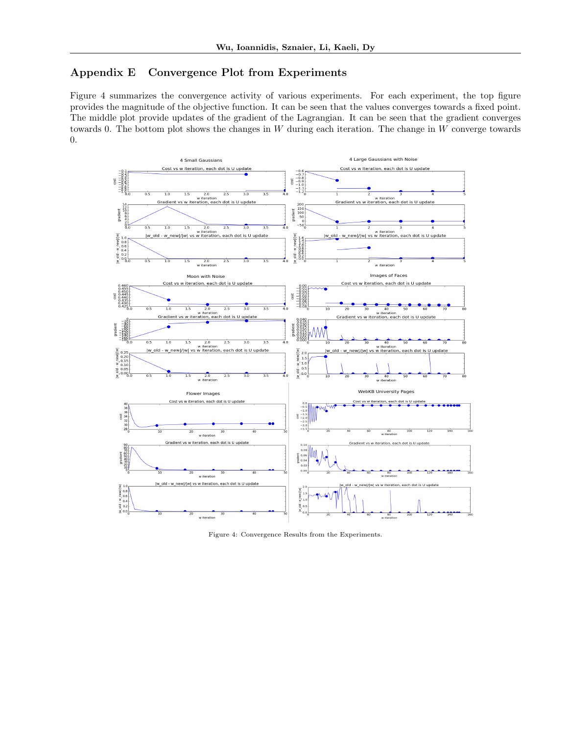# Appendix E Convergence Plot from Experiments

Figure 4 summarizes the convergence activity of various experiments. For each experiment, the top figure provides the magnitude of the objective function. It can be seen that the values converges towards a fixed point. The middle plot provide updates of the gradient of the Lagrangian. It can be seen that the gradient converges towards 0. The bottom plot shows the changes in  $W$  during each iteration. The change in  $W$  converge towards 0.



Figure 4: Convergence Results from the Experiments.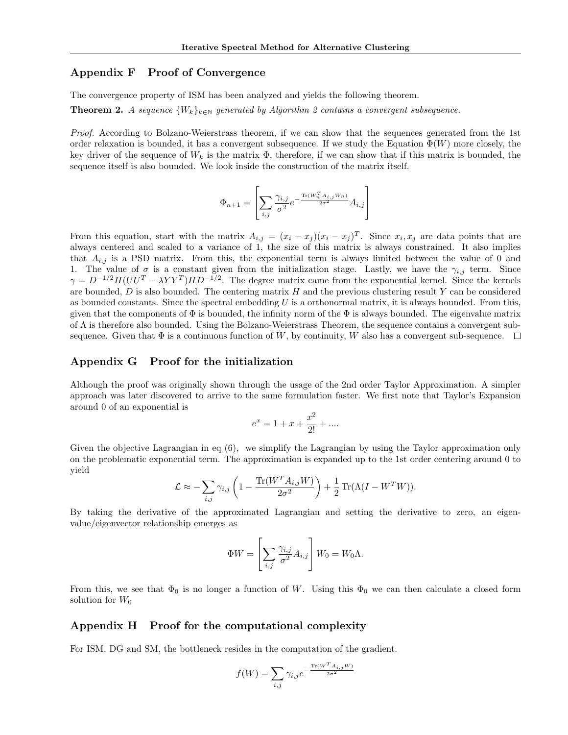## Appendix F Proof of Convergence

The convergence property of ISM has been analyzed and yields the following theorem.

**Theorem 2.** A sequence  $\{W_k\}_{k\in\mathbb{N}}$  generated by Algorithm 2 contains a convergent subsequence.

Proof. According to Bolzano-Weierstrass theorem, if we can show that the sequences generated from the 1st order relaxation is bounded, it has a convergent subsequence. If we study the Equation  $\Phi(W)$  more closely, the key driver of the sequence of  $W_k$  is the matrix  $\Phi$ , therefore, if we can show that if this matrix is bounded, the sequence itself is also bounded. We look inside the construction of the matrix itself.

$$
\Phi_{n+1} = \left[ \sum_{i,j} \frac{\gamma_{i,j}}{\sigma^2} e^{-\frac{\text{Tr}(W_n^T A_{i,j} W_n)}{2\sigma^2}} A_{i,j} \right]
$$

From this equation, start with the matrix  $A_{i,j} = (x_i - x_j)(x_i - x_j)^T$ . Since  $x_i, x_j$  are data points that are always centered and scaled to a variance of 1, the size of this matrix is always constrained. It also implies that  $A_{i,j}$  is a PSD matrix. From this, the exponential term is always limited between the value of 0 and 1. The value of  $\sigma$  is a constant given from the initialization stage. Lastly, we have the  $\gamma_{i,j}$  term. Since  $\gamma = D^{-1/2}H(UU^{T} - \lambda Y Y^{T}) H D^{-1/2}$ . The degree matrix came from the exponential kernel. Since the kernels are bounded,  $D$  is also bounded. The centering matrix  $H$  and the previous clustering result  $Y$  can be considered as bounded constants. Since the spectral embedding  $U$  is a orthonormal matrix, it is always bounded. From this, given that the components of  $\Phi$  is bounded, the infinity norm of the  $\Phi$  is always bounded. The eigenvalue matrix of Λ is therefore also bounded. Using the Bolzano-Weierstrass Theorem, the sequence contains a convergent subsequence. Given that  $\Phi$  is a continuous function of W, by continuity, W also has a convergent sub-sequence.  $\square$ 

### Appendix G Proof for the initialization

Although the proof was originally shown through the usage of the 2nd order Taylor Approximation. A simpler approach was later discovered to arrive to the same formulation faster. We first note that Taylor's Expansion around 0 of an exponential is

$$
e^x = 1 + x + \frac{x^2}{2!} + \dots
$$

Given the objective Lagrangian in eq (6), we simplify the Lagrangian by using the Taylor approximation only on the problematic exponential term. The approximation is expanded up to the 1st order centering around 0 to yield

$$
\mathcal{L} \approx -\sum_{i,j} \gamma_{i,j} \left( 1 - \frac{\text{Tr}(W^T A_{i,j} W)}{2\sigma^2} \right) + \frac{1}{2} \text{Tr}(\Lambda (I - W^T W)).
$$

By taking the derivative of the approximated Lagrangian and setting the derivative to zero, an eigenvalue/eigenvector relationship emerges as

$$
\Phi W = \left[ \sum_{i,j} \frac{\gamma_{i,j}}{\sigma^2} A_{i,j} \right] W_0 = W_0 \Lambda.
$$

From this, we see that  $\Phi_0$  is no longer a function of W. Using this  $\Phi_0$  we can then calculate a closed form solution for  $W_0$ 

#### Appendix H Proof for the computational complexity

For ISM, DG and SM, the bottleneck resides in the computation of the gradient.

$$
f(W) = \sum_{i,j} \gamma_{i,j} e^{-\frac{\text{Tr}(W^TA_{i,j}W)}{2\sigma^2}}
$$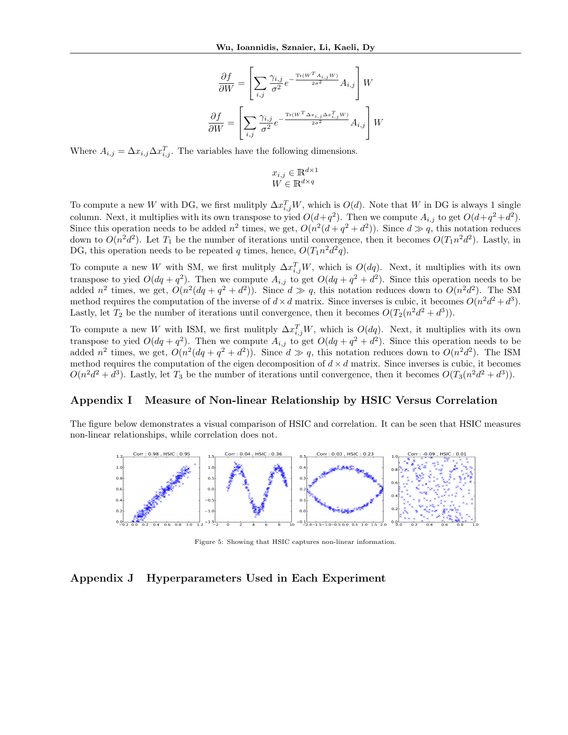$$
\frac{\partial f}{\partial W} = \left[ \sum_{i,j} \frac{\gamma_{i,j}}{\sigma^2} e^{-\frac{\text{Tr}(W^T A_{i,j}W)}{2\sigma^2}} A_{i,j} \right] W
$$

$$
\frac{\partial f}{\partial W} = \left[ \sum_{i,j} \frac{\gamma_{i,j}}{\sigma^2} e^{-\frac{\text{Tr}(W^T \Delta x_{i,j} \Delta x_{i,j}^T W)}{2\sigma^2}} A_{i,j} \right] W
$$

Where  $A_{i,j} = \Delta x_{i,j} \Delta x_{i,j}^T$ . The variables have the following dimensions.

$$
x_{i,j} \in \mathbb{R}^{d \times 1}
$$

$$
W \in \mathbb{R}^{d \times q}
$$

To compute a new W with DG, we first mulitply  $\Delta x_{i,j}^T W$ , which is  $O(d)$ . Note that W in DG is always 1 single column. Next, it multiplies with its own transpose to yied  $O(d+q^2)$ . Then we compute  $A_{i,j}$  to get  $O(d+q^2+d^2)$ . Since this operation needs to be added  $n^2$  times, we get,  $O(n^2(d+q^2+d^2))$ . Since  $d \gg q$ , this notation reduces down to  $O(n^2d^2)$ . Let  $T_1$  be the number of iterations until convergence, then it becomes  $O(T_1n^2d^2)$ . Lastly, in DG, this operation needs to be repeated q times, hence,  $O(T_1 n^2 d^2 q)$ .

To compute a new W with SM, we first mulitply  $\Delta x_{i,j}^T W$ , which is  $O(dq)$ . Next, it multiplies with its own transpose to yied  $O(dq + q^2)$ . Then we compute  $A_{i,j}$  to get  $O(dq + q^2 + d^2)$ . Since this operation needs to be added  $n^2$  times, we get,  $O(n^2(dq + q^2 + d^2))$ . Since  $d \gg q$ , this notation reduces down to  $O(n^2d^2)$ . The SM method requires the computation of the inverse of  $d \times d$  matrix. Since inverses is cubic, it becomes  $O(n^2d^2 + d^3)$ . Lastly, let  $T_2$  be the number of iterations until convergence, then it becomes  $O(T_2(n^2d^2+d^3))$ .

To compute a new W with ISM, we first mulitply  $\Delta x_{i,j}^T W$ , which is  $O(dq)$ . Next, it multiplies with its own transpose to yied  $O(dq + q^2)$ . Then we compute  $A_{i,j}$  to get  $O(dq + q^2 + d^2)$ . Since this operation needs to be added  $n^2$  times, we get,  $O(n^2(dq + q^2 + d^2))$ . Since  $d \gg q$ , this notation reduces down to  $O(n^2d^2)$ . The ISM method requires the computation of the eigen decomposition of  $d \times d$  matrix. Since inverses is cubic, it becomes  $O(n^2d^2 + d^3)$ . Lastly, let  $T_3$  be the number of iterations until convergence, then it becomes  $O(T_3(n^2d^2 + d^3))$ .

#### Appendix I Measure of Non-linear Relationship by HSIC Versus Correlation

The figure below demonstrates a visual comparison of HSIC and correlation. It can be seen that HSIC measures non-linear relationships, while correlation does not.



Figure 5: Showing that HSIC captures non-linear information.

#### Appendix J Hyperparameters Used in Each Experiment